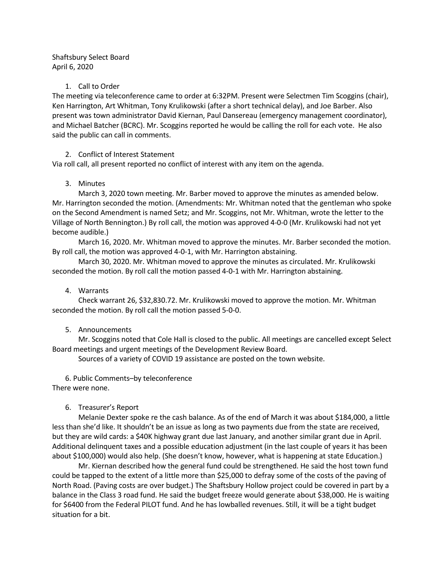# Shaftsbury Select Board April 6, 2020

### 1. Call to Order

The meeting via teleconference came to order at 6:32PM. Present were Selectmen Tim Scoggins (chair), Ken Harrington, Art Whitman, Tony Krulikowski (after a short technical delay), and Joe Barber. Also present was town administrator David Kiernan, Paul Dansereau (emergency management coordinator), and Michael Batcher (BCRC). Mr. Scoggins reported he would be calling the roll for each vote. He also said the public can call in comments.

## 2. Conflict of Interest Statement

Via roll call, all present reported no conflict of interest with any item on the agenda.

# 3. Minutes

March 3, 2020 town meeting. Mr. Barber moved to approve the minutes as amended below. Mr. Harrington seconded the motion. (Amendments: Mr. Whitman noted that the gentleman who spoke on the Second Amendment is named Setz; and Mr. Scoggins, not Mr. Whitman, wrote the letter to the Village of North Bennington.) By roll call, the motion was approved 4-0-0 (Mr. Krulikowski had not yet become audible.)

March 16, 2020. Mr. Whitman moved to approve the minutes. Mr. Barber seconded the motion. By roll call, the motion was approved 4-0-1, with Mr. Harrington abstaining.

March 30, 2020. Mr. Whitman moved to approve the minutes as circulated. Mr. Krulikowski seconded the motion. By roll call the motion passed 4-0-1 with Mr. Harrington abstaining.

# 4. Warrants

Check warrant 26, \$32,830.72. Mr. Krulikowski moved to approve the motion. Mr. Whitman seconded the motion. By roll call the motion passed 5-0-0.

# 5. Announcements

Mr. Scoggins noted that Cole Hall is closed to the public. All meetings are cancelled except Select Board meetings and urgent meetings of the Development Review Board.

Sources of a variety of COVID 19 assistance are posted on the town website.

6. Public Comments–by teleconference There were none.

## 6. Treasurer's Report

Melanie Dexter spoke re the cash balance. As of the end of March it was about \$184,000, a little less than she'd like. It shouldn't be an issue as long as two payments due from the state are received, but they are wild cards: a \$40K highway grant due last January, and another similar grant due in April. Additional delinquent taxes and a possible education adjustment (in the last couple of years it has been about \$100,000) would also help. (She doesn't know, however, what is happening at state Education.)

Mr. Kiernan described how the general fund could be strengthened. He said the host town fund could be tapped to the extent of a little more than \$25,000 to defray some of the costs of the paving of North Road. (Paving costs are over budget.) The Shaftsbury Hollow project could be covered in part by a balance in the Class 3 road fund. He said the budget freeze would generate about \$38,000. He is waiting for \$6400 from the Federal PILOT fund. And he has lowballed revenues. Still, it will be a tight budget situation for a bit.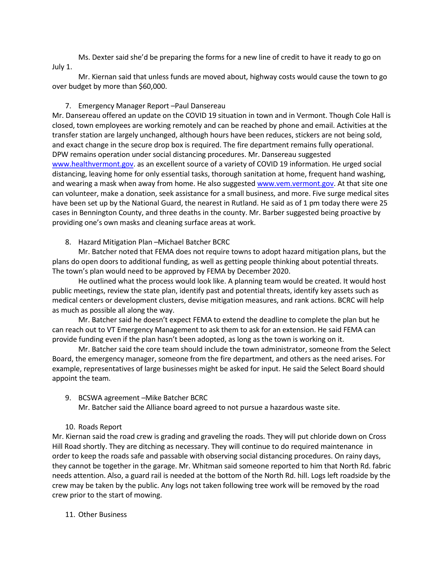Ms. Dexter said she'd be preparing the forms for a new line of credit to have it ready to go on July 1.

Mr. Kiernan said that unless funds are moved about, highway costs would cause the town to go over budget by more than \$60,000.

### 7. Emergency Manager Report –Paul Dansereau

Mr. Dansereau offered an update on the COVID 19 situation in town and in Vermont. Though Cole Hall is closed, town employees are working remotely and can be reached by phone and email. Activities at the transfer station are largely unchanged, although hours have been reduces, stickers are not being sold, and exact change in the secure drop box is required. The fire department remains fully operational. DPW remains operation under social distancing procedures. Mr. Dansereau suggested [www.healthvermont.gov.](http://www.healthvermont.gov/) as an excellent source of a variety of COVID 19 information. He urged social distancing, leaving home for only essential tasks, thorough sanitation at home, frequent hand washing, and wearing a mask when away from home. He also suggested [www.vem.vermont.gov.](http://www.vem.vermont.gov/) At that site one can volunteer, make a donation, seek assistance for a small business, and more. Five surge medical sites have been set up by the National Guard, the nearest in Rutland. He said as of 1 pm today there were 25 cases in Bennington County, and three deaths in the county. Mr. Barber suggested being proactive by providing one's own masks and cleaning surface areas at work.

### 8. Hazard Mitigation Plan –Michael Batcher BCRC

Mr. Batcher noted that FEMA does not require towns to adopt hazard mitigation plans, but the plans do open doors to additional funding, as well as getting people thinking about potential threats. The town's plan would need to be approved by FEMA by December 2020.

He outlined what the process would look like. A planning team would be created. It would host public meetings, review the state plan, identify past and potential threats, identify key assets such as medical centers or development clusters, devise mitigation measures, and rank actions. BCRC will help as much as possible all along the way.

Mr. Batcher said he doesn't expect FEMA to extend the deadline to complete the plan but he can reach out to VT Emergency Management to ask them to ask for an extension. He said FEMA can provide funding even if the plan hasn't been adopted, as long as the town is working on it.

Mr. Batcher said the core team should include the town administrator, someone from the Select Board, the emergency manager, someone from the fire department, and others as the need arises. For example, representatives of large businesses might be asked for input. He said the Select Board should appoint the team.

#### 9. BCSWA agreement –Mike Batcher BCRC

Mr. Batcher said the Alliance board agreed to not pursue a hazardous waste site.

#### 10. Roads Report

Mr. Kiernan said the road crew is grading and graveling the roads. They will put chloride down on Cross Hill Road shortly. They are ditching as necessary. They will continue to do required maintenance in order to keep the roads safe and passable with observing social distancing procedures. On rainy days, they cannot be together in the garage. Mr. Whitman said someone reported to him that North Rd. fabric needs attention. Also, a guard rail is needed at the bottom of the North Rd. hill. Logs left roadside by the crew may be taken by the public. Any logs not taken following tree work will be removed by the road crew prior to the start of mowing.

#### 11. Other Business